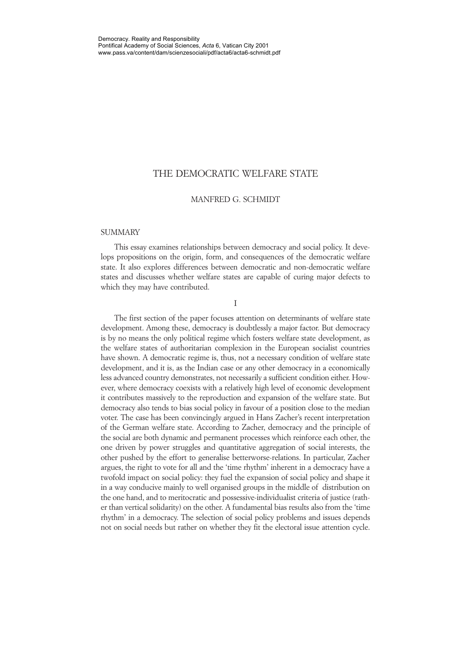### THE DEMOCRATIC WELFARE STATE

#### MANFRED G. SCHMIDT

#### **SUMMARY**

This essay examines relationships between democracy and social policy. It develops propositions on the origin, form, and consequences of the democratic welfare state. It also explores differences between democratic and non-democratic welfare states and discusses whether welfare states are capable of curing major defects to which they may have contributed.

I

The first section of the paper focuses attention on determinants of welfare state development. Among these, democracy is doubtlessly a major factor. But democracy is by no means the only political regime which fosters welfare state development, as the welfare states of authoritarian complexion in the European socialist countries have shown. A democratic regime is, thus, not a necessary condition of welfare state development, and it is, as the Indian case or any other democracy in a economically less advanced country demonstrates, not necessarily a sufficient condition either. However, where democracy coexists with a relatively high level of economic development it contributes massively to the reproduction and expansion of the welfare state. But democracy also tends to bias social policy in favour of a position close to the median voter. The case has been convincingly argued in Hans Zacher's recent interpretation of the German welfare state. According to Zacher, democracy and the principle of the social are both dynamic and permanent processes which reinforce each other, the one driven by power struggles and quantitative aggregation of social interests, the other pushed by the effort to generalise betterworse-relations. In particular, Zacher argues, the right to vote for all and the 'time rhythm' inherent in a democracy have a twofold impact on social policy: they fuel the expansion of social policy and shape it in a way conducive mainly to well organised groups in the middle of distribution on the one hand, and to meritocratic and possessive-individualist criteria of justice (rather than vertical solidarity) on the other. A fundamental bias results also from the 'time rhythm' in a democracy. The selection of social policy problems and issues depends not on social needs but rather on whether they fit the electoral issue attention cycle.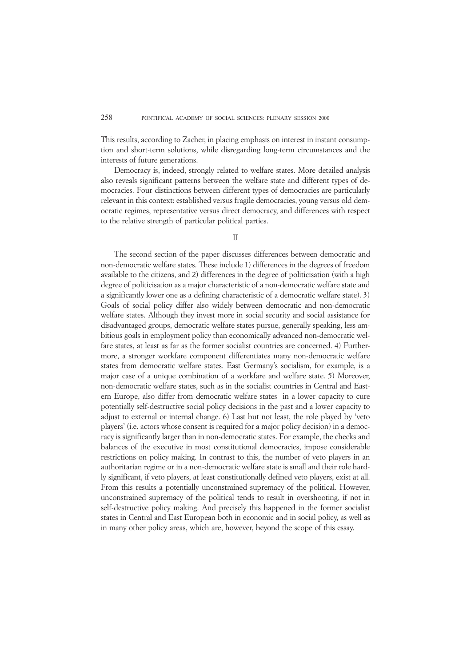This results, according to Zacher, in placing emphasis on interest in instant consumption and short-term solutions, while disregarding long-term circumstances and the interests of future generations.

Democracy is, indeed, strongly related to welfare states. More detailed analysis also reveals significant patterns between the welfare state and different types of democracies. Four distinctions between different types of democracies are particularly relevant in this context: established versus fragile democracies, young versus old democratic regimes, representative versus direct democracy, and differences with respect to the relative strength of particular political parties.

#### II

The second section of the paper discusses differences between democratic and non-democratic welfare states. These include 1) differences in the degrees of freedom available to the citizens, and 2) differences in the degree of politicisation (with a high degree of politicisation as a major characteristic of a non-democratic welfare state and a significantly lower one as a defining characteristic of a democratic welfare state). 3) Goals of social policy differ also widely between democratic and non-democratic welfare states. Although they invest more in social security and social assistance for disadvantaged groups, democratic welfare states pursue, generally speaking, less ambitious goals in employment policy than economically advanced non-democratic welfare states, at least as far as the former socialist countries are concerned. 4) Furthermore, a stronger workfare component differentiates many non-democratic welfare states from democratic welfare states. East Germany's socialism, for example, is a major case of a unique combination of a workfare and welfare state. 5) Moreover, non-democratic welfare states, such as in the socialist countries in Central and Eastern Europe, also differ from democratic welfare states in a lower capacity to cure potentially self-destructive social policy decisions in the past and a lower capacity to adjust to external or internal change. 6) Last but not least, the role played by 'veto players' (i.e. actors whose consent is required for a major policy decision) in a democracy is significantly larger than in non-democratic states. For example, the checks and balances of the executive in most constitutional democracies, impose considerable restrictions on policy making. In contrast to this, the number of veto players in an authoritarian regime or in a non-democratic welfare state is small and their role hardly significant, if veto players, at least constitutionally defined veto players, exist at all. From this results a potentially unconstrained supremacy of the political. However, unconstrained supremacy of the political tends to result in overshooting, if not in self-destructive policy making. And precisely this happened in the former socialist states in Central and East European both in economic and in social policy, as well as in many other policy areas, which are, however, beyond the scope of this essay.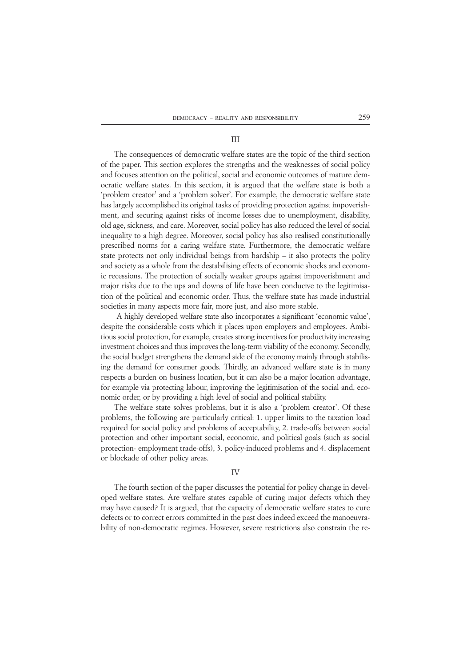#### III

The consequences of democratic welfare states are the topic of the third section of the paper. This section explores the strengths and the weaknesses of social policy and focuses attention on the political, social and economic outcomes of mature democratic welfare states. In this section, it is argued that the welfare state is both a 'problem creator' and a 'problem solver'. For example, the democratic welfare state has largely accomplished its original tasks of providing protection against impoverishment, and securing against risks of income losses due to unemployment, disability, old age, sickness, and care. Moreover, social policy has also reduced the level of social inequality to a high degree. Moreover, social policy has also realised constitutionally prescribed norms for a caring welfare state. Furthermore, the democratic welfare state protects not only individual beings from hardship – it also protects the polity and society as a whole from the destabilising effects of economic shocks and economic recessions. The protection of socially weaker groups against impoverishment and major risks due to the ups and downs of life have been conducive to the legitimisation of the political and economic order. Thus, the welfare state has made industrial societies in many aspects more fair, more just, and also more stable.

 A highly developed welfare state also incorporates a significant 'economic value', despite the considerable costs which it places upon employers and employees. Ambitious social protection, for example, creates strong incentives for productivity increasing investment choices and thus improves the long-term viability of the economy. Secondly, the social budget strengthens the demand side of the economy mainly through stabilising the demand for consumer goods. Thirdly, an advanced welfare state is in many respects a burden on business location, but it can also be a major location advantage, for example via protecting labour, improving the legitimisation of the social and, economic order, or by providing a high level of social and political stability.

The welfare state solves problems, but it is also a 'problem creator'. Of these problems, the following are particularly critical: 1. upper limits to the taxation load required for social policy and problems of acceptability, 2. trade-offs between social protection and other important social, economic, and political goals (such as social protection- employment trade-offs), 3. policy-induced problems and 4. displacement or blockade of other policy areas.

#### IV

The fourth section of the paper discusses the potential for policy change in developed welfare states. Are welfare states capable of curing major defects which they may have caused? It is argued, that the capacity of democratic welfare states to cure defects or to correct errors committed in the past does indeed exceed the manoeuvrability of non-democratic regimes. However, severe restrictions also constrain the re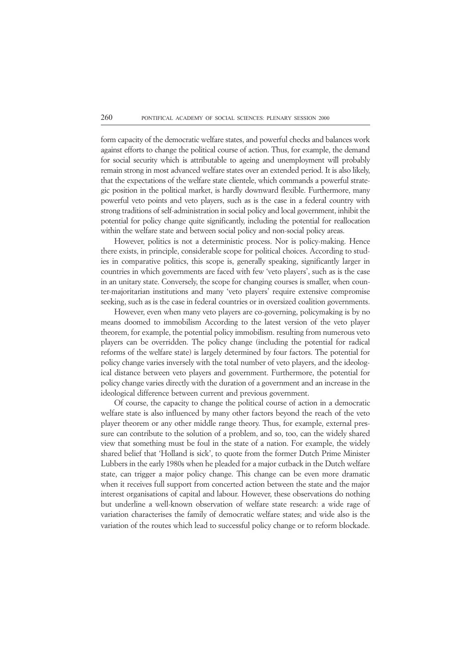form capacity of the democratic welfare states, and powerful checks and balances work against efforts to change the political course of action. Thus, for example, the demand for social security which is attributable to ageing and unemployment will probably remain strong in most advanced welfare states over an extended period. It is also likely, that the expectations of the welfare state clientele, which commands a powerful strategic position in the political market, is hardly downward flexible. Furthermore, many powerful veto points and veto players, such as is the case in a federal country with strong traditions of self-administration in social policy and local government, inhibit the potential for policy change quite significantly, including the potential for reallocation within the welfare state and between social policy and non-social policy areas.

However, politics is not a deterministic process. Nor is policy-making. Hence there exists, in principle, considerable scope for political choices. According to studies in comparative politics, this scope is, generally speaking, significantly larger in countries in which governments are faced with few 'veto players', such as is the case in an unitary state. Conversely, the scope for changing courses is smaller, when counter-majoritarian institutions and many 'veto players' require extensive compromise seeking, such as is the case in federal countries or in oversized coalition governments.

However, even when many veto players are co-governing, policymaking is by no means doomed to immobilism According to the latest version of the veto player theorem, for example, the potential policy immobilism. resulting from numerous veto players can be overridden. The policy change (including the potential for radical reforms of the welfare state) is largely determined by four factors. The potential for policy change varies inversely with the total number of veto players, and the ideological distance between veto players and government. Furthermore, the potential for policy change varies directly with the duration of a government and an increase in the ideological difference between current and previous government.

Of course, the capacity to change the political course of action in a democratic welfare state is also influenced by many other factors beyond the reach of the veto player theorem or any other middle range theory. Thus, for example, external pressure can contribute to the solution of a problem, and so, too, can the widely shared view that something must be foul in the state of a nation. For example, the widely shared belief that 'Holland is sick', to quote from the former Dutch Prime Minister Lubbers in the early 1980s when he pleaded for a major cutback in the Dutch welfare state, can trigger a major policy change. This change can be even more dramatic when it receives full support from concerted action between the state and the major interest organisations of capital and labour. However, these observations do nothing but underline a well-known observation of welfare state research: a wide rage of variation characterises the family of democratic welfare states; and wide also is the variation of the routes which lead to successful policy change or to reform blockade.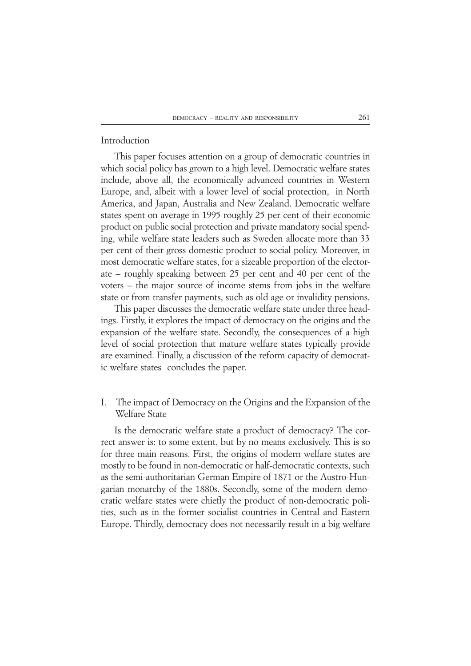### Introduction

This paper focuses attention on a group of democratic countries in which social policy has grown to a high level. Democratic welfare states include, above all, the economically advanced countries in Western Europe, and, albeit with a lower level of social protection, in North America, and Japan, Australia and New Zealand. Democratic welfare states spent on average in 1995 roughly 25 per cent of their economic product on public social protection and private mandatory social spending, while welfare state leaders such as Sweden allocate more than 33 per cent of their gross domestic product to social policy. Moreover, in most democratic welfare states, for a sizeable proportion of the electorate – roughly speaking between 25 per cent and 40 per cent of the voters – the major source of income stems from jobs in the welfare state or from transfer payments, such as old age or invalidity pensions.

This paper discusses the democratic welfare state under three headings. Firstly, it explores the impact of democracy on the origins and the expansion of the welfare state. Secondly, the consequences of a high level of social protection that mature welfare states typically provide are examined. Finally, a discussion of the reform capacity of democratic welfare states concludes the paper.

I. The impact of Democracy on the Origins and the Expansion of the Welfare State

Is the democratic welfare state a product of democracy? The correct answer is: to some extent, but by no means exclusively. This is so for three main reasons. First, the origins of modern welfare states are mostly to be found in non-democratic or half-democratic contexts, such as the semi-authoritarian German Empire of 1871 or the Austro-Hungarian monarchy of the 1880s. Secondly, some of the modern democratic welfare states were chiefly the product of non-democratic polities, such as in the former socialist countries in Central and Eastern Europe. Thirdly, democracy does not necessarily result in a big welfare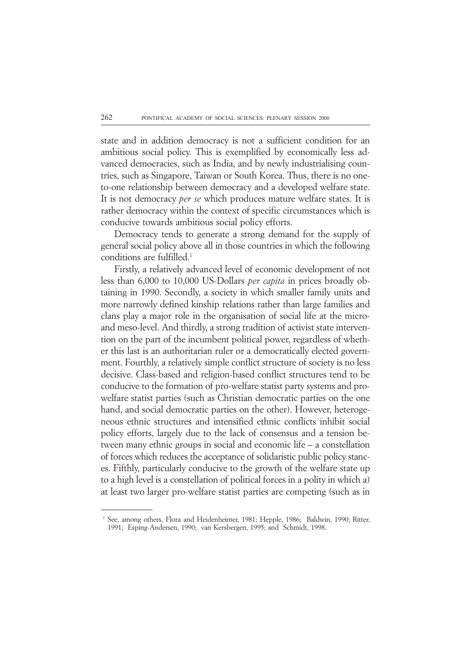state and in addition democracy is not a sufficient condition for an ambitious social policy. This is exemplified by economically less advanced democracies, such as India, and by newly industrialising countries, such as Singapore, Taiwan or South Korea. Thus, there is no oneto-one relationship between democracy and a developed welfare state. It is not democracy *per se* which produces mature welfare states. It is rather democracy within the context of specific circumstances which is conducive towards ambitious social policy efforts.

Democracy tends to generate a strong demand for the supply of general social policy above all in those countries in which the following conditions are fulfilled.1

Firstly, a relatively advanced level of economic development of not less than 6,000 to 10,000 US-Dollars *per capita* in prices broadly obtaining in 1990. Secondly, a society in which smaller family units and more narrowly defined kinship relations rather than large families and clans play a major role in the organisation of social life at the microand meso-level. And thirdly, a strong tradition of activist state intervention on the part of the incumbent political power, regardless of whether this last is an authoritarian ruler or a democratically elected government. Fourthly, a relatively simple conflict structure of society is no less decisive. Class-based and religion-based conflict structures tend to be conducive to the formation of pro-welfare statist party systems and prowelfare statist parties (such as Christian democratic parties on the one hand, and social democratic parties on the other). However, heterogeneous ethnic structures and intensified ethnic conflicts inhibit social policy efforts, largely due to the lack of consensus and a tension between many ethnic groups in social and economic life – a constellation of forces which reduces the acceptance of solidaristic public policy stances. Fifthly, particularly conducive to the growth of the welfare state up to a high level is a constellation of political forces in a polity in which a) at least two larger pro-welfare statist parties are competing (such as in

<sup>&</sup>lt;sup>1</sup> See, among others, Flora and Heidenheimer, 1981; Hepple, 1986; Baldwin, 1990; Ritter, 1991; Esping-Andersen, 1990; van Kersbergen, 1995; and Schmidt, 1998.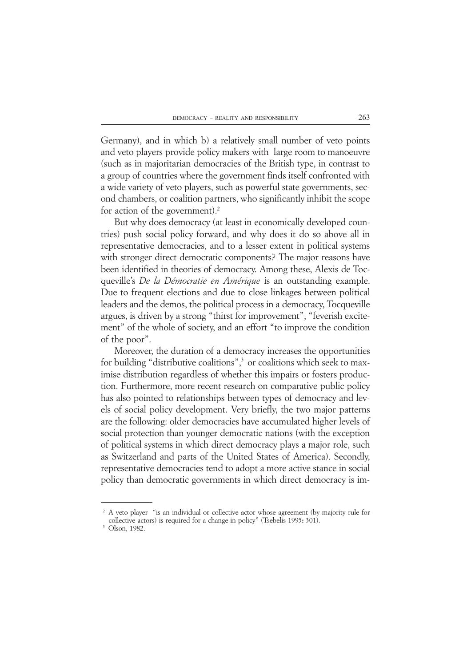Germany), and in which b) a relatively small number of veto points and veto players provide policy makers with large room to manoeuvre (such as in majoritarian democracies of the British type, in contrast to a group of countries where the government finds itself confronted with a wide variety of veto players, such as powerful state governments, second chambers, or coalition partners, who significantly inhibit the scope for action of the government).2

But why does democracy (at least in economically developed countries) push social policy forward, and why does it do so above all in representative democracies, and to a lesser extent in political systems with stronger direct democratic components? The major reasons have been identified in theories of democracy. Among these, Alexis de Tocqueville's *De la Démocratie en Amérique* is an outstanding example. Due to frequent elections and due to close linkages between political leaders and the demos, the political process in a democracy, Tocqueville argues, is driven by a strong "thirst for improvement", "feverish excitement" of the whole of society, and an effort "to improve the condition of the poor".

Moreover, the duration of a democracy increases the opportunities for building "distributive coalitions",<sup>3</sup> or coalitions which seek to maximise distribution regardless of whether this impairs or fosters production. Furthermore, more recent research on comparative public policy has also pointed to relationships between types of democracy and levels of social policy development. Very briefly, the two major patterns are the following: older democracies have accumulated higher levels of social protection than younger democratic nations (with the exception of political systems in which direct democracy plays a major role, such as Switzerland and parts of the United States of America). Secondly, representative democracies tend to adopt a more active stance in social policy than democratic governments in which direct democracy is im-

<sup>&</sup>lt;sup>2</sup> A veto player "is an individual or collective actor whose agreement (by majority rule for collective actors) is required for a change in policy" (Tsebelis 1995**:** 301).

<sup>23</sup> Olson, 1982.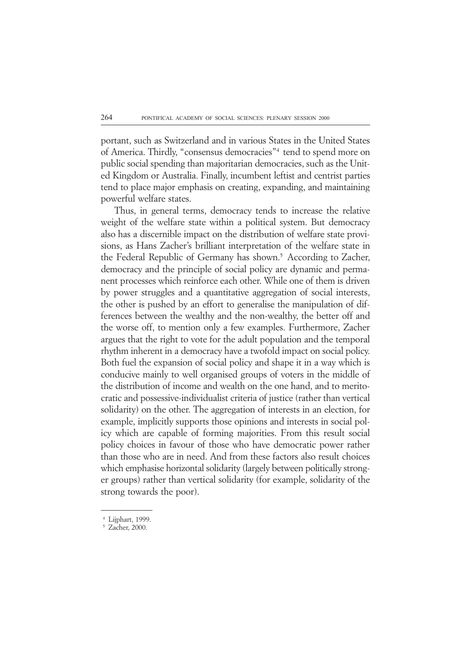portant, such as Switzerland and in various States in the United States of America. Thirdly, "consensus democracies"4 tend to spend more on public social spending than majoritarian democracies, such as the United Kingdom or Australia. Finally, incumbent leftist and centrist parties tend to place major emphasis on creating, expanding, and maintaining powerful welfare states.

Thus, in general terms, democracy tends to increase the relative weight of the welfare state within a political system. But democracy also has a discernible impact on the distribution of welfare state provisions, as Hans Zacher's brilliant interpretation of the welfare state in the Federal Republic of Germany has shown.<sup>5</sup> According to Zacher, democracy and the principle of social policy are dynamic and permanent processes which reinforce each other. While one of them is driven by power struggles and a quantitative aggregation of social interests, the other is pushed by an effort to generalise the manipulation of differences between the wealthy and the non-wealthy, the better off and the worse off, to mention only a few examples. Furthermore, Zacher argues that the right to vote for the adult population and the temporal rhythm inherent in a democracy have a twofold impact on social policy. Both fuel the expansion of social policy and shape it in a way which is conducive mainly to well organised groups of voters in the middle of the distribution of income and wealth on the one hand, and to meritocratic and possessive-individualist criteria of justice (rather than vertical solidarity) on the other. The aggregation of interests in an election, for example, implicitly supports those opinions and interests in social policy which are capable of forming majorities. From this result social policy choices in favour of those who have democratic power rather than those who are in need. And from these factors also result choices which emphasise horizontal solidarity (largely between politically stronger groups) rather than vertical solidarity (for example, solidarity of the strong towards the poor).

<sup>24</sup> Lijphart, 1999.

 $5$  Zacher, 2000.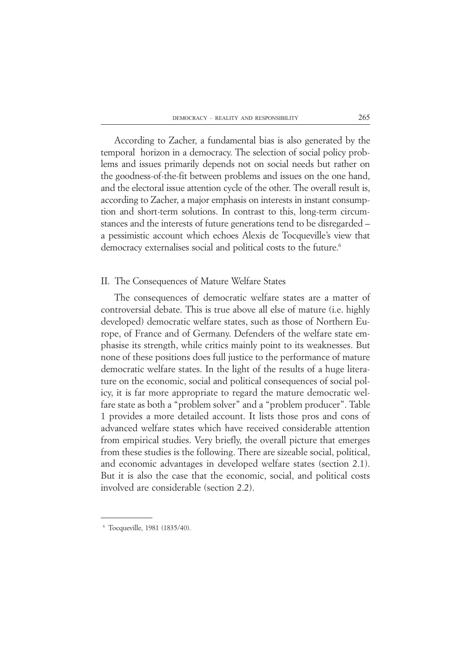According to Zacher, a fundamental bias is also generated by the temporal horizon in a democracy. The selection of social policy problems and issues primarily depends not on social needs but rather on the goodness-of-the-fit between problems and issues on the one hand, and the electoral issue attention cycle of the other. The overall result is, according to Zacher, a major emphasis on interests in instant consumption and short-term solutions. In contrast to this, long-term circumstances and the interests of future generations tend to be disregarded – a pessimistic account which echoes Alexis de Tocqueville's view that democracy externalises social and political costs to the future.<sup>6</sup>

# II. The Consequences of Mature Welfare States

The consequences of democratic welfare states are a matter of controversial debate. This is true above all else of mature (i.e. highly developed) democratic welfare states, such as those of Northern Europe, of France and of Germany. Defenders of the welfare state emphasise its strength, while critics mainly point to its weaknesses. But none of these positions does full justice to the performance of mature democratic welfare states. In the light of the results of a huge literature on the economic, social and political consequences of social policy, it is far more appropriate to regard the mature democratic welfare state as both a "problem solver" and a "problem producer". Table 1 provides a more detailed account. It lists those pros and cons of advanced welfare states which have received considerable attention from empirical studies. Very briefly, the overall picture that emerges from these studies is the following. There are sizeable social, political, and economic advantages in developed welfare states (section 2.1). But it is also the case that the economic, social, and political costs involved are considerable (section 2.2).

<sup>66</sup> Tocqueville, 1981 (1835/40).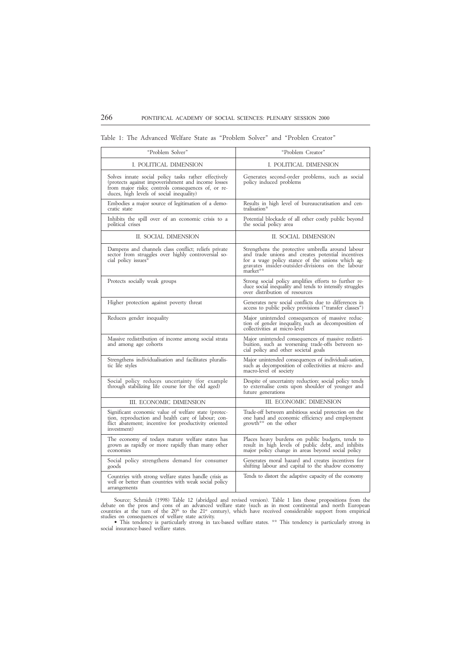|  |  |  | Table 1: The Advanced Welfare State as "Problem Solver" and "Problen Creator" |  |  |  |  |  |  |  |  |
|--|--|--|-------------------------------------------------------------------------------|--|--|--|--|--|--|--|--|
|--|--|--|-------------------------------------------------------------------------------|--|--|--|--|--|--|--|--|

| "Problem Solver"                                                                                                                                                                                             | "Problem Creator"                                                                                                                                                                                                      |
|--------------------------------------------------------------------------------------------------------------------------------------------------------------------------------------------------------------|------------------------------------------------------------------------------------------------------------------------------------------------------------------------------------------------------------------------|
| I. POLITICAL DIMENSION                                                                                                                                                                                       | I. POLITICAL DIMENSION                                                                                                                                                                                                 |
| Solves innate social policy tasks rather effectively<br>(protects against impoverishment and income losses<br>from major risks; controls consequences of, or re-<br>duces, high levels of social inequality) | Generates second-order problems, such as social<br>policy induced problems                                                                                                                                             |
| Embodies a major source of legitimation of a demo-<br>cratic state                                                                                                                                           | Results in high level of bureaucratisation and cen-<br>tralisation*                                                                                                                                                    |
| Inhibits the spill over of an economic crisis to a<br>political crises                                                                                                                                       | Potential blockade of all other costly public beyond<br>the social policy area                                                                                                                                         |
| II. SOCIAL DIMENSION                                                                                                                                                                                         | II. SOCIAL DIMENSION                                                                                                                                                                                                   |
| Dampens and channels class conflict; reliefs private<br>sector from struggles over highly controversial so-<br>cial policy issues*                                                                           | Strengthens the protective umbrella around labour<br>and trade unions and creates potential incentives<br>for a wage policy stance of the unions which aggravates insider-outsider-divisions on the labour<br>market** |
| Protects socially weak groups                                                                                                                                                                                | Strong social policy amplifies efforts to further re-<br>duce social inequality and tends to intensify struggles<br>over distribution of resources                                                                     |
| Higher protection against poverty threat                                                                                                                                                                     | Generates new social conflicts due to differences in<br>access to public policy provisions ("transfer classes")                                                                                                        |
| Reduces gender inequality                                                                                                                                                                                    | Major unintended consequences of massive reduc-<br>tion of gender inequality, such as decomposition of<br>collectivities at micro-level                                                                                |
| Massive redistribution of income among social strata<br>and among age cohorts                                                                                                                                | Major unintended consequences of massive redistri-<br>buition, such as worsening trade-offs between so-<br>cial policy and other societal goals                                                                        |
| Strengthens individualisation and facilitates pluralis-<br>tic life styles                                                                                                                                   | Major unintended consequences of individuali-sation,<br>such as decomposition of collectivities at micro- and<br>macro-level of society                                                                                |
| Social policy reduces uncertainty (for example<br>through stabilizing life course for the old aged)                                                                                                          | Despite of uncertainty reduction: social policy tends<br>to externalise costs upon shoulder of younger and<br>future generations                                                                                       |
| III. ECONOMIC DIMENSION                                                                                                                                                                                      | III. ECONOMIC DIMENSION                                                                                                                                                                                                |
| Significant economic value of welfare state (protec-<br>tion, reproduction and health care of labour; con-<br>flict abatement; incentive for productivity oriented<br>investment)                            | Trade-off between ambitious social protection on the<br>one hand and economic efficiency and employment<br>growth** on the other                                                                                       |
| The economy of todays mature welfare states has<br>grown as rapidly or more rapidly than many other<br>economies                                                                                             | Places heavy burdens on public budgets, tends to<br>result in high levels of public debt, and inhibits<br>major policy change in areas beyond social policy                                                            |
| Social policy strengthens demand for consumer<br>goods                                                                                                                                                       | Generates moral hazard and creates incentives for<br>shifting labour and capital to the shadow economy                                                                                                                 |
| Countries with strong welfare states handle crisis as<br>well or better than countries with weak social policy<br>arrangements                                                                               | Tends to distort the adaptive capacity of the economy                                                                                                                                                                  |

Source: Schmidt (1998) Table 12 (abridged and revised version). Table 1 lists those propositions from the debate on the pros and cons of an advanced welfare state (such as in most continental and north European countries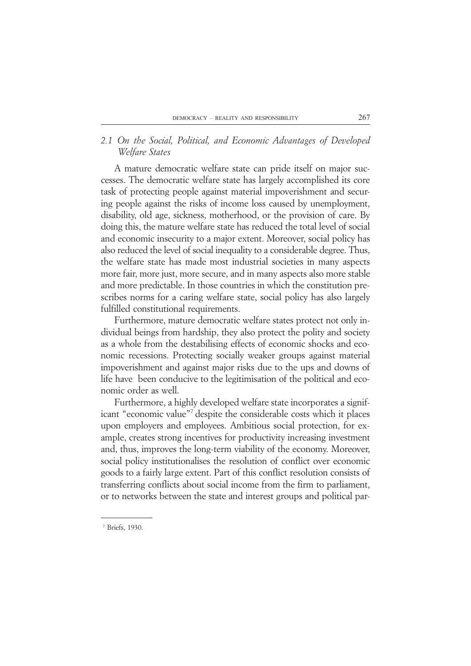# *2.1 On the Social, Political, and Economic Advantages of Developed Welfare States*

A mature democratic welfare state can pride itself on major successes. The democratic welfare state has largely accomplished its core task of protecting people against material impoverishment and securing people against the risks of income loss caused by unemployment, disability, old age, sickness, motherhood, or the provision of care. By doing this, the mature welfare state has reduced the total level of social and economic insecurity to a major extent. Moreover, social policy has also reduced the level of social inequality to a considerable degree. Thus, the welfare state has made most industrial societies in many aspects more fair, more just, more secure, and in many aspects also more stable and more predictable. In those countries in which the constitution prescribes norms for a caring welfare state, social policy has also largely fulfilled constitutional requirements.

Furthermore, mature democratic welfare states protect not only individual beings from hardship, they also protect the polity and society as a whole from the destabilising effects of economic shocks and economic recessions. Protecting socially weaker groups against material impoverishment and against major risks due to the ups and downs of life have been conducive to the legitimisation of the political and economic order as well.

Furthermore, a highly developed welfare state incorporates a significant "economic value"<sup>7</sup> despite the considerable costs which it places upon employers and employees. Ambitious social protection, for example, creates strong incentives for productivity increasing investment and, thus, improves the long-term viability of the economy. Moreover, social policy institutionalises the resolution of conflict over economic goods to a fairly large extent. Part of this conflict resolution consists of transferring conflicts about social income from the firm to parliament, or to networks between the state and interest groups and political par-

<sup>&</sup>lt;sup>7</sup> Briefs, 1930.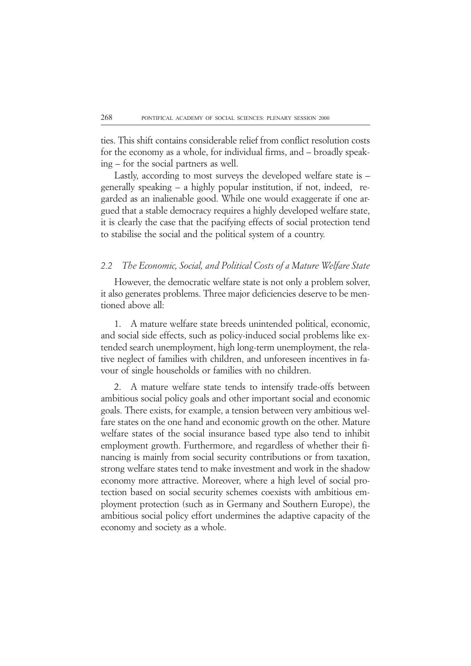ties. This shift contains considerable relief from conflict resolution costs for the economy as a whole, for individual firms, and – broadly speaking – for the social partners as well.

Lastly, according to most surveys the developed welfare state is – generally speaking – a highly popular institution, if not, indeed, regarded as an inalienable good. While one would exaggerate if one argued that a stable democracy requires a highly developed welfare state, it is clearly the case that the pacifying effects of social protection tend to stabilise the social and the political system of a country.

# *2.2 The Economic, Social, and Political Costs of a Mature Welfare State*

However, the democratic welfare state is not only a problem solver, it also generates problems. Three major deficiencies deserve to be mentioned above all:

1. A mature welfare state breeds unintended political, economic, and social side effects, such as policy-induced social problems like extended search unemployment, high long-term unemployment, the relative neglect of families with children, and unforeseen incentives in favour of single households or families with no children.

2. A mature welfare state tends to intensify trade-offs between ambitious social policy goals and other important social and economic goals. There exists, for example, a tension between very ambitious welfare states on the one hand and economic growth on the other. Mature welfare states of the social insurance based type also tend to inhibit employment growth. Furthermore, and regardless of whether their financing is mainly from social security contributions or from taxation, strong welfare states tend to make investment and work in the shadow economy more attractive. Moreover, where a high level of social protection based on social security schemes coexists with ambitious employment protection (such as in Germany and Southern Europe), the ambitious social policy effort undermines the adaptive capacity of the economy and society as a whole.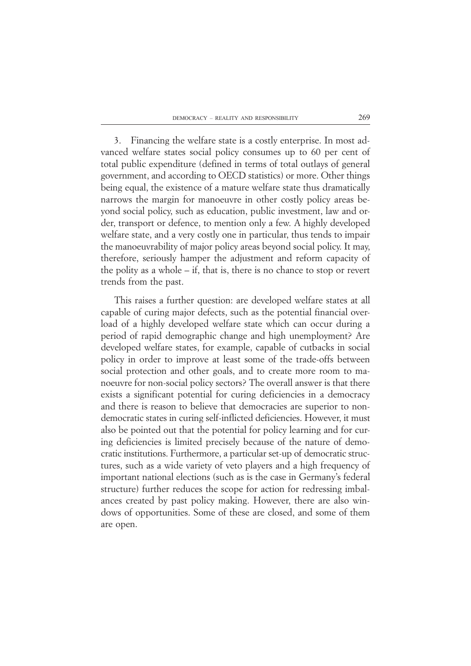3. Financing the welfare state is a costly enterprise. In most advanced welfare states social policy consumes up to 60 per cent of total public expenditure (defined in terms of total outlays of general government, and according to OECD statistics) or more. Other things being equal, the existence of a mature welfare state thus dramatically narrows the margin for manoeuvre in other costly policy areas beyond social policy, such as education, public investment, law and order, transport or defence, to mention only a few. A highly developed welfare state, and a very costly one in particular, thus tends to impair the manoeuvrability of major policy areas beyond social policy. It may, therefore, seriously hamper the adjustment and reform capacity of the polity as a whole – if, that is, there is no chance to stop or revert trends from the past.

This raises a further question: are developed welfare states at all capable of curing major defects, such as the potential financial overload of a highly developed welfare state which can occur during a period of rapid demographic change and high unemployment? Are developed welfare states, for example, capable of cutbacks in social policy in order to improve at least some of the trade-offs between social protection and other goals, and to create more room to manoeuvre for non-social policy sectors? The overall answer is that there exists a significant potential for curing deficiencies in a democracy and there is reason to believe that democracies are superior to nondemocratic states in curing self-inflicted deficiencies. However, it must also be pointed out that the potential for policy learning and for curing deficiencies is limited precisely because of the nature of democratic institutions. Furthermore, a particular set-up of democratic structures, such as a wide variety of veto players and a high frequency of important national elections (such as is the case in Germany's federal structure) further reduces the scope for action for redressing imbalances created by past policy making. However, there are also windows of opportunities. Some of these are closed, and some of them are open.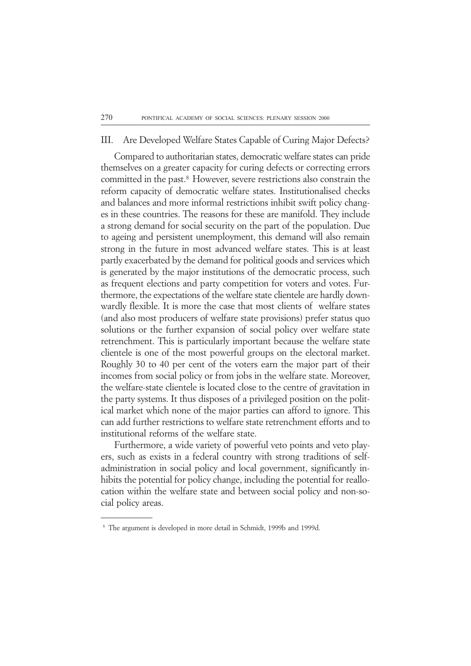# III. Are Developed Welfare States Capable of Curing Major Defects?

Compared to authoritarian states, democratic welfare states can pride themselves on a greater capacity for curing defects or correcting errors committed in the past.8 However, severe restrictions also constrain the reform capacity of democratic welfare states. Institutionalised checks and balances and more informal restrictions inhibit swift policy changes in these countries. The reasons for these are manifold. They include a strong demand for social security on the part of the population. Due to ageing and persistent unemployment, this demand will also remain strong in the future in most advanced welfare states. This is at least partly exacerbated by the demand for political goods and services which is generated by the major institutions of the democratic process, such as frequent elections and party competition for voters and votes. Furthermore, the expectations of the welfare state clientele are hardly downwardly flexible. It is more the case that most clients of welfare states (and also most producers of welfare state provisions) prefer status quo solutions or the further expansion of social policy over welfare state retrenchment. This is particularly important because the welfare state clientele is one of the most powerful groups on the electoral market. Roughly 30 to 40 per cent of the voters earn the major part of their incomes from social policy or from jobs in the welfare state. Moreover, the welfare-state clientele is located close to the centre of gravitation in the party systems. It thus disposes of a privileged position on the political market which none of the major parties can afford to ignore. This can add further restrictions to welfare state retrenchment efforts and to institutional reforms of the welfare state.

Furthermore, a wide variety of powerful veto points and veto players, such as exists in a federal country with strong traditions of selfadministration in social policy and local government, significantly inhibits the potential for policy change, including the potential for reallocation within the welfare state and between social policy and non-social policy areas.

<sup>&</sup>lt;sup>8</sup> The argument is developed in more detail in Schmidt, 1999b and 1999d.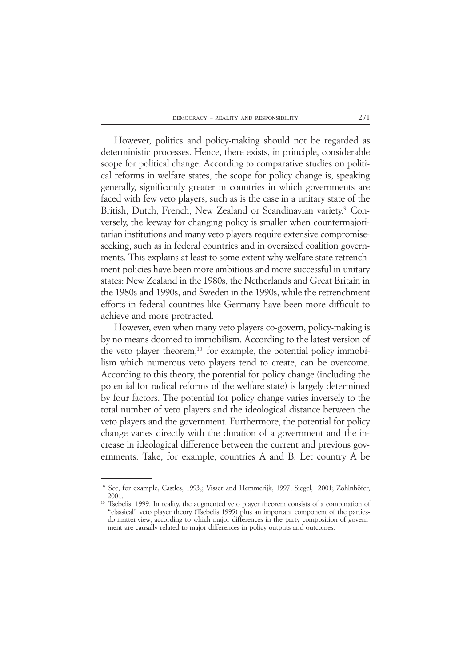However, politics and policy-making should not be regarded as deterministic processes. Hence, there exists, in principle, considerable scope for political change. According to comparative studies on political reforms in welfare states, the scope for policy change is, speaking generally, significantly greater in countries in which governments are faced with few veto players, such as is the case in a unitary state of the British, Dutch, French, New Zealand or Scandinavian variety.<sup>9</sup> Conversely, the leeway for changing policy is smaller when countermajoritarian institutions and many veto players require extensive compromiseseeking, such as in federal countries and in oversized coalition governments. This explains at least to some extent why welfare state retrenchment policies have been more ambitious and more successful in unitary states: New Zealand in the 1980s, the Netherlands and Great Britain in the 1980s and 1990s, and Sweden in the 1990s, while the retrenchment efforts in federal countries like Germany have been more difficult to achieve and more protracted.

However, even when many veto players co-govern, policy-making is by no means doomed to immobilism. According to the latest version of the veto player theorem,<sup>10</sup> for example, the potential policy immobilism which numerous veto players tend to create, can be overcome. According to this theory, the potential for policy change (including the potential for radical reforms of the welfare state) is largely determined by four factors. The potential for policy change varies inversely to the total number of veto players and the ideological distance between the veto players and the government. Furthermore, the potential for policy change varies directly with the duration of a government and the increase in ideological difference between the current and previous governments. Take, for example, countries A and B. Let country A be

<sup>29</sup> See, for example, Castles, 1993,; Visser and Hemmerijk, 1997; Siegel, 2001; Zohlnhöfer, 2001.

<sup>&</sup>lt;sup>10</sup> Tsebelis, 1999. In reality, the augmented veto player theorem consists of a combination of "classical" veto player theory (Tsebelis 1995) plus an important component of the partiesdo-matter-view, according to which major differences in the party composition of government are causally related to major differences in policy outputs and outcomes.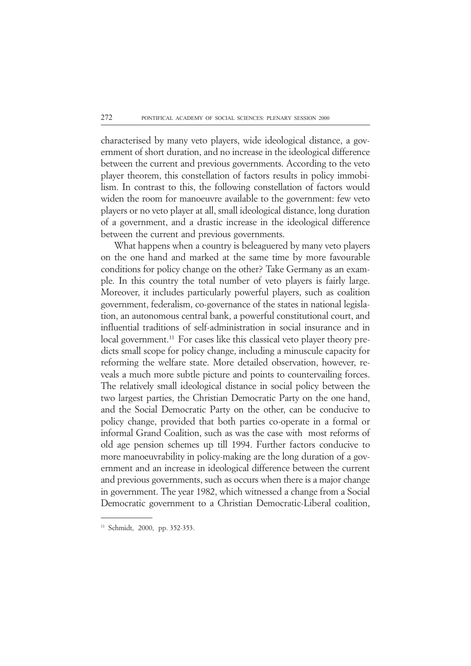characterised by many veto players, wide ideological distance, a government of short duration, and no increase in the ideological difference between the current and previous governments. According to the veto player theorem, this constellation of factors results in policy immobilism. In contrast to this, the following constellation of factors would widen the room for manoeuvre available to the government: few veto players or no veto player at all, small ideological distance, long duration of a government, and a drastic increase in the ideological difference between the current and previous governments.

What happens when a country is beleaguered by many veto players on the one hand and marked at the same time by more favourable conditions for policy change on the other? Take Germany as an example. In this country the total number of veto players is fairly large. Moreover, it includes particularly powerful players, such as coalition government, federalism, co-governance of the states in national legislation, an autonomous central bank, a powerful constitutional court, and influential traditions of self-administration in social insurance and in local government.<sup>11</sup> For cases like this classical veto player theory predicts small scope for policy change, including a minuscule capacity for reforming the welfare state. More detailed observation, however, reveals a much more subtle picture and points to countervailing forces. The relatively small ideological distance in social policy between the two largest parties, the Christian Democratic Party on the one hand, and the Social Democratic Party on the other, can be conducive to policy change, provided that both parties co-operate in a formal or informal Grand Coalition, such as was the case with most reforms of old age pension schemes up till 1994. Further factors conducive to more manoeuvrability in policy-making are the long duration of a government and an increase in ideological difference between the current and previous governments, such as occurs when there is a major change in government. The year 1982, which witnessed a change from a Social Democratic government to a Christian Democratic-Liberal coalition,

<sup>11</sup> Schmidt, 2000, pp. 352-353.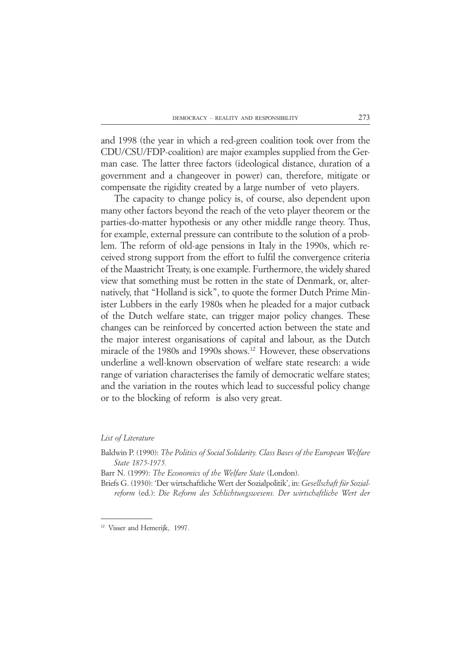and 1998 (the year in which a red-green coalition took over from the CDU/CSU/FDP-coalition) are major examples supplied from the German case. The latter three factors (ideological distance, duration of a government and a changeover in power) can, therefore, mitigate or compensate the rigidity created by a large number of veto players.

The capacity to change policy is, of course, also dependent upon many other factors beyond the reach of the veto player theorem or the parties-do-matter hypothesis or any other middle range theory. Thus, for example, external pressure can contribute to the solution of a problem. The reform of old-age pensions in Italy in the 1990s, which received strong support from the effort to fulfil the convergence criteria of the Maastricht Treaty, is one example. Furthermore, the widely shared view that something must be rotten in the state of Denmark, or, alternatively, that "Holland is sick", to quote the former Dutch Prime Minister Lubbers in the early 1980s when he pleaded for a major cutback of the Dutch welfare state, can trigger major policy changes. These changes can be reinforced by concerted action between the state and the major interest organisations of capital and labour, as the Dutch miracle of the 1980s and 1990s shows.<sup>12</sup> However, these observations underline a well-known observation of welfare state research: a wide range of variation characterises the family of democratic welfare states; and the variation in the routes which lead to successful policy change or to the blocking of reform is also very great.

### *List of Literature*

Baldwin P. (1990): *The Politics of Social Solidarity. Class Bases of the European Welfare State 1875-1975.*

Barr N. (1999): *The Economics of the Welfare State* (London).

Briefs G. (1930): 'Der wirtschaftliche Wert der Sozialpolitik', in: *Gesellschaft für Sozialreform* (ed.): *Die Reform des Schlichtungswesens. Der wirtschaftliche Wert der*

<sup>&</sup>lt;sup>12</sup> Visser and Hemerijk, 1997.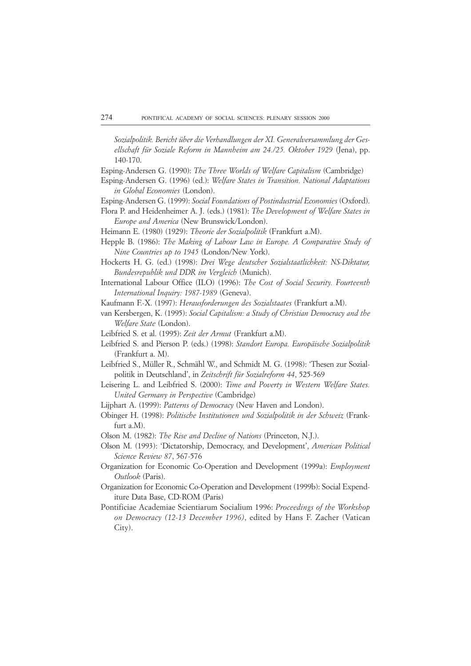*Sozialpolitik. Bericht über die Verhandlungen der XI. Generalversammlung der Gesellschaft für Soziale Reform in Mannheim am 24./25. Oktober 1929* (Jena), pp. 140-170.

Esping-Andersen G. (1990): *The Three Worlds of Welfare Capitalism* (Cambridge)

Esping-Andersen G. (1996) (ed.): *Welfare States in Transition. National Adaptations in Global Economies* (London).

Esping-Andersen G. (1999): *Social Foundations of Postindustrial Economies* (Oxford).

Flora P. and Heidenheimer A. J. (eds.) (1981): *The Development of Welfare States in Europe and America* (New Brunswick/London).

Heimann E. (1980) (1929): *Theorie der Sozialpolitik* (Frankfurt a.M).

- Hepple B. (1986): *The Making of Labour Law in Europe. A Comparative Study of Nine Countries up to 1945* (London/New York).
- Hockerts H. G. (ed.) (1998): *Drei Wege deutscher Sozialstaatlichkeit: NS-Diktatur, Bundesrepublik und DDR im Vergleich* (Munich).
- International Labour Office (ILO) (1996): *The Cost of Social Security. Fourteenth International Inquiry: 1987-1989* (Geneva).
- Kaufmann F.-X. (1997): *Herausforderungen des Sozialstaates* (Frankfurt a.M).
- van Kersbergen, K. (1995): *Social Capitalism: a Study of Christian Democracy and the Welfare State* (London).
- Leibfried S. et al. (1995): *Zeit der Armut* (Frankfurt a.M).
- Leibfried S. and Pierson P. (eds.) (1998): *Standort Europa. Europäische Sozialpolitik* (Frankfurt a. M).
- Leibfried S., Müller R., Schmähl W., and Schmidt M. G. (1998): 'Thesen zur Sozialpolitik in Deutschland', in *Zeitschrift für Sozialreform 44*, 525-569
- Leisering L. and Leibfried S. (2000): *Time and Poverty in Western Welfare States. United Germany in Perspective* (Cambridge)
- Lijphart A. (1999): *Patterns of Democracy* (New Haven and London).
- Obinger H. (1998): *Politische Institutionen und Sozialpolitik in der Schweiz* (Frankfurt a.M).
- Olson M. (1982): *The Rise and Decline of Nations* (Princeton, N.J.).
- Olson M. (1993): 'Dictatorship, Democracy, and Development', *American Political Science Review 87*, 567-576
- Organization for Economic Co-Operation and Development (1999a): *Employment Outlook* (Paris).
- Organization for Economic Co-Operation and Development (1999b): Social Expenditure Data Base, CD-ROM (Paris)
- Pontificiae Academiae Scientiarum Socialium 1996: *Proceedings of the Workshop on Democracy (12-13 December 1996)*, edited by Hans F. Zacher (Vatican City).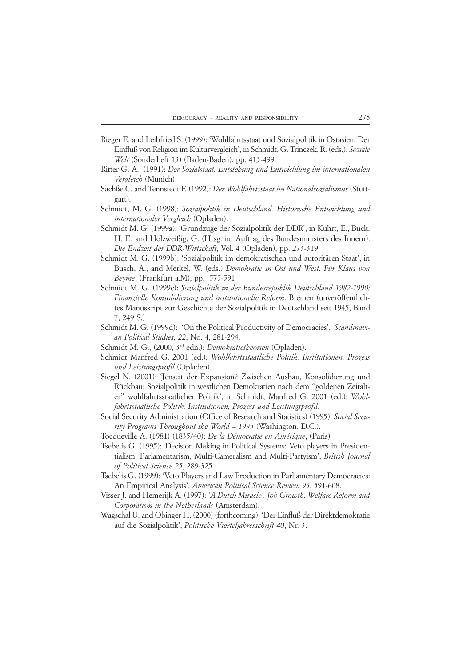- Rieger E. and Leibfried S. (1999): 'Wohlfahrtsstaat und Sozialpolitik in Ostasien. Der Einfluß von Religion im Kulturvergleich', in Schmidt, G. Trinczek, R. (eds.), *Soziale Welt* (Sonderheft 13) (Baden-Baden), pp. 413-499.
- Ritter G. A., (1991): *Der Sozialstaat. Entstehung und Entwicklung im internationalen Vergleich* (Munich)
- Sachße C. and Tennstedt F. (1992): *Der Wohlfahrtsstaat im Nationalsozialismus* (Stuttgart).
- Schmidt, M. G. (1998): *Sozialpolitik in Deutschland. Historische Entwicklung und internationaler Vergleich* (Opladen).
- Schmidt M. G. (1999a): 'Grundzüge der Sozialpolitik der DDR', in Kuhrt, E., Buck, H. F., and Holzweißig, G. (Hrsg. im Auftrag des Bundesministers des Innern): *Die Endzeit der DDR-Wirtschaft*, Vol. 4 (Opladen), pp. 273-319.
- Schmidt M. G. (1999b): 'Sozialpolitik im demokratischen und autoritären Staat', in Busch, A., and Merkel, W. (eds.) *Demokratie in Ost und West. Für Klaus von Beyme*, (Frankfurt a.M), pp. 575-591
- Schmidt M. G. (1999c): *Sozialpolitik in der Bundesrepublik Deutschland 1982-1990; Finanzielle Konsolidierung und institutionelle Reform*. Bremen (unveröffentlichtes Manuskript zur Geschichte der Sozialpolitik in Deutschland seit 1945, Band 7, 249 S.)
- Schmidt M. G. (1999d): 'On the Political Productivity of Democracies', *Scandinavian Political Studies, 22*, No. 4, 281-294.
- Schmidt M. G., (2000, 3rd edn.): *Demokratietheorien* (Opladen).
- Schmidt Manfred G. 2001 (ed.): *Wohlfahrtsstaatliche Politik: Institutionen, Prozess und Leistungsprofil* (Opladen).
- Siegel N. (2001): 'Jenseit der Expansion? Zwischen Ausbau, Konsolidierung und Rückbau: Sozialpolitik in westlichen Demokratien nach dem "goldenen Zeitalter" wohlfahrtsstaatlicher Politik', in Schmidt, Manfred G. 2001 (ed.): *Wohlfahrtsstaatliche Politik: Institutionen, Prozess und Leistungsprofil*.
- Social Security Administration (Office of Research and Statistics) (1995): *Social Security Programs Throughout the World – 1995* (Washington, D.C.).
- Tocqueville A. (1981) (1835/40): *De la Démocratie en Amérique*, (Paris)
- Tsebelis G. (1995): 'Decision Making in Political Systems: Veto players in Presidentialism, Parlamentarism, Multi-Cameralism and Multi-Partyism', *British Journal of Political Science 25*, 289-325.
- Tsebelis G. (1999): 'Veto Players and Law Production in Parliamentary Democracies: An Empirical Analysis', *American Political Science Review 93*, 591-608.
- Visser J. and Hemerijk A. (1997): *'A Dutch Miracle'. Job Growth, Welfare Reform and Corporatism in the Netherlands* (Amsterdam).
- Wagschal U. and Obinger H. (2000) (forthcoming): 'Der Einfluß der Direktdemokratie auf die Sozialpolitik', *Politische Vierteljahresschrift 40*, Nr. 3.